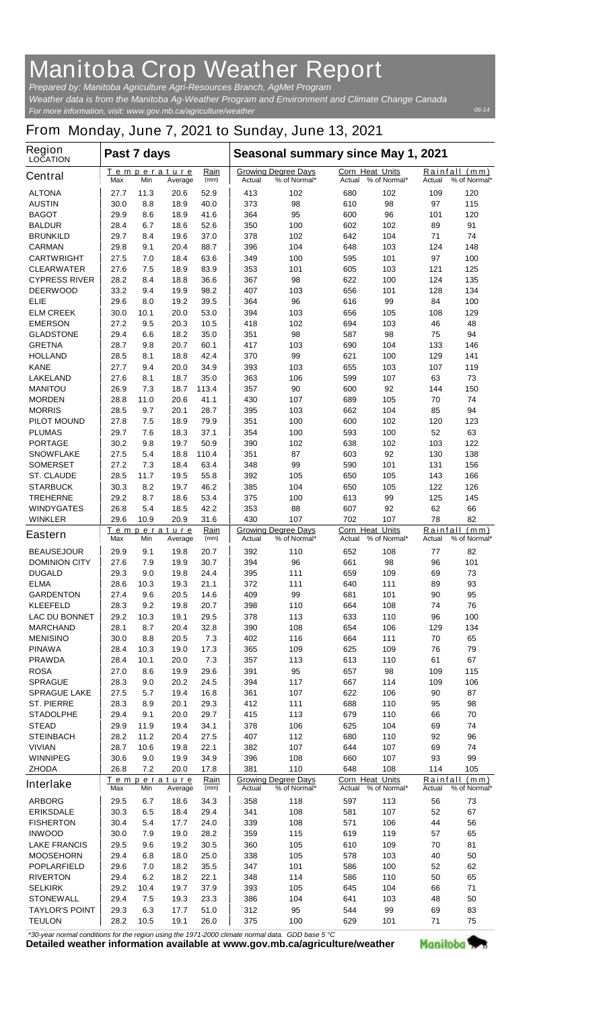## **Manitoba Crop Weather Report**

*For more information, visit: www.gov.mb.ca/agriculture/weather Prepared by: Manitoba Agriculture Agri-Resources Branch, AgMet Program Weather data is from the Manitoba Ag-Weather Program and Environment and Climate Change Canada*

## **From Monday, June 7, 2021 to Sunday, June 13, 2021**

| Region<br><b>LOCATION</b>               | Past 7 days                                         |             |                        |                                                      | Seasonal summary since May 1, 2021       |                                            |                                        |                                            |               |                               |  |
|-----------------------------------------|-----------------------------------------------------|-------------|------------------------|------------------------------------------------------|------------------------------------------|--------------------------------------------|----------------------------------------|--------------------------------------------|---------------|-------------------------------|--|
| <b>Central</b>                          | Max                                                 | Min         | Temperature<br>Average | Rain<br>(mm)                                         | Actual                                   | <b>Growing Degree Days</b><br>% of Normal* | Actual                                 | <b>Corn Heat Units</b><br>% of Normal*     | <b>Actual</b> | Rainfall (mm)<br>% of Normal* |  |
| <b>ALTONA</b>                           | 27.7                                                | 11.3        | 20.6                   | 52.9                                                 | 413                                      | 102                                        | 680                                    | 102                                        | 109           | 120                           |  |
| <b>AUSTIN</b>                           | 30.0                                                | 8.8         | 18.9                   | 40.0                                                 | 373                                      | 98                                         | 610                                    | 98                                         | 97            | 115                           |  |
| <b>BAGOT</b>                            | 29.9                                                | 8.6<br>6.7  | 18.9                   | 41.6<br>52.6                                         | 364<br>350                               | 95                                         | 600                                    | 96                                         | 101           | 120<br>91                     |  |
| <b>BALDUR</b><br><b>BRUNKILD</b>        | 28.4<br>29.7                                        | 8.4         | 18.6<br>19.6           | 37.0                                                 | 378                                      | 100<br>102                                 | 602<br>642                             | 102<br>104                                 | 89<br>71      | 74                            |  |
| <b>CARMAN</b>                           | 29.8                                                | 9.1         | 20.4                   | 88.7                                                 | 396                                      | 104                                        | 648                                    | 103                                        | 124           | 148                           |  |
| <b>CARTWRIGHT</b>                       | 27.5                                                | 7.0         | 18.4                   | 63.6                                                 | 349                                      | 100                                        | 595                                    | 101                                        | 97            | 100                           |  |
| <b>CLEARWATER</b>                       | 27.6                                                | 7.5         | 18.9                   | 83.9                                                 | 353                                      | 101                                        | 605                                    | 103                                        | 121           | 125                           |  |
| <b>CYPRESS RIVER</b>                    | 28.2                                                | 8.4         | 18.8                   | 36.6                                                 | 367                                      | 98                                         | 622                                    | 100                                        | 124           | 135                           |  |
| <b>DEERWOOD</b>                         | 33.2                                                | 9.4         | 19.9                   | 98.2                                                 | 407                                      | 103                                        | 656                                    | 101                                        | 128           | 134                           |  |
| <b>ELIE</b>                             | 29.6                                                | 8.0         | 19.2                   | 39.5                                                 | 364                                      | 96                                         | 616                                    | 99                                         | 84            | 100                           |  |
| <b>ELM CREEK</b><br><b>EMERSON</b>      | 30.0<br>27.2                                        | 10.1<br>9.5 | 20.0<br>20.3           | 53.0<br>10.5                                         | 394<br>418                               | 103<br>102                                 | 656<br>694                             | 105<br>103                                 | 108<br>46     | 129<br>48                     |  |
| <b>GLADSTONE</b>                        | 29.4                                                | 6.6         | 18.2                   | 35.0                                                 | 351                                      | 98                                         | 587                                    | 98                                         | 75            | 94                            |  |
| <b>GRETNA</b>                           | 28.7                                                | 9.8         | 20.7                   | 60.1                                                 | 417                                      | 103                                        | 690                                    | 104                                        | 133           | 146                           |  |
| <b>HOLLAND</b>                          | 28.5                                                | 8.1         | 18.8                   | 42.4                                                 | 370                                      | 99                                         | 621                                    | 100                                        | 129           | 141                           |  |
| <b>KANE</b>                             | 27.7                                                | 9.4         | 20.0                   | 34.9                                                 | 393                                      | 103                                        | 655                                    | 103                                        | 107           | 119                           |  |
| <b>LAKELAND</b>                         | 27.6                                                | 8.1         | 18.7                   | 35.0                                                 | 363                                      | 106                                        | 599                                    | 107                                        | 63            | 73                            |  |
| <b>MANITOU</b>                          | 26.9                                                | 7.3         | 18.7                   | 113.4                                                | 357                                      | 90                                         | 600                                    | 92                                         | 144           | 150                           |  |
| <b>MORDEN</b>                           | 28.8                                                | 11.0        | 20.6                   | 41.1                                                 | 430                                      | 107                                        | 689                                    | 105                                        | 70            | 74                            |  |
| <b>MORRIS</b><br><b>PILOT MOUND</b>     | 28.5<br>27.8                                        | 9.7<br>7.5  | 20.1<br>18.9           | 28.7<br>79.9                                         | 395<br>351                               | 103<br>100                                 | 662<br>600                             | 104<br>102                                 | 85<br>120     | 94<br>123                     |  |
| <b>PLUMAS</b>                           | 29.7                                                | 7.6         | 18.3                   | 37.1                                                 | 354                                      | 100                                        | 593                                    | 100                                        | 52            | 63                            |  |
| <b>PORTAGE</b>                          | 30.2                                                | 9.8         | 19.7                   | 50.9                                                 | 390                                      | 102                                        | 638                                    | 102                                        | 103           | 122                           |  |
| <b>SNOWFLAKE</b>                        | 27.5                                                | 5.4         | 18.8                   | 110.4                                                | 351                                      | 87                                         | 603                                    | 92                                         | 130           | 138                           |  |
| <b>SOMERSET</b>                         | 27.2                                                | 7.3         | 18.4                   | 63.4                                                 | 348                                      | 99                                         | 590                                    | 101                                        | 131           | 156                           |  |
| <b>ST. CLAUDE</b>                       | 28.5                                                | 11.7        | 19.5                   | 55.8                                                 | 392                                      | 105                                        | 650                                    | 105                                        | 143           | 166                           |  |
| <b>STARBUCK</b>                         | 30.3                                                | 8.2         | 19.7                   | 46.2                                                 | 385                                      | 104                                        | 650                                    | 105                                        | 122           | 126                           |  |
| <b>TREHERNE</b>                         | 29.2                                                | 8.7         | 18.6                   | 53.4                                                 | 375                                      | 100                                        | 613                                    | 99                                         | 125           | 145                           |  |
| <b>WINDYGATES</b><br><b>WINKLER</b>     | 26.8<br>29.6                                        | 5.4<br>10.9 | 18.5<br>20.9           | 42.2<br>31.6                                         | 353                                      | 88                                         | 607                                    | 92                                         | 62            | 66                            |  |
|                                         |                                                     |             | Temperature            | Rain                                                 | 430<br>107<br><b>Growing Degree Days</b> |                                            |                                        | 702<br>107<br><b>Corn Heat Units</b>       |               | 78<br>82<br>Rainfall<br>(mm)  |  |
| <b>Eastern</b>                          | Max                                                 | Min         | Average                | (mm)                                                 | Actual                                   | % of Normal*                               | Actual                                 | % of Normal*                               | Actual        | % of Normal*                  |  |
| <b>BEAUSEJOUR</b>                       | 29.9                                                | 9.1         | 19.8                   | 20.7                                                 | 392                                      | 110                                        | 652                                    | 108                                        | 77            | 82                            |  |
| <b>DOMINION CITY</b>                    | 27.6                                                | 7.9         | 19.9                   | 30.7                                                 | 394                                      | 96                                         | 661                                    | 98                                         | 96            | 101                           |  |
| <b>DUGALD</b>                           | 29.3                                                | 9.0         | 19.8                   | 24.4                                                 | 395                                      | 111                                        | 659                                    | 109                                        | 69            | 73                            |  |
| <b>ELMA</b><br><b>GARDENTON</b>         | 28.6<br>27.4                                        | 10.3<br>9.6 | 19.3<br>20.5           | 21.1<br>14.6                                         | 372<br>409                               | 111<br>99                                  | 640<br>681                             | 111<br>101                                 | 89<br>90      | 93<br>95                      |  |
| <b>KLEEFELD</b>                         | 28.3                                                | 9.2         | 19.8                   | 20.7                                                 | 398                                      | 110                                        | 664                                    | 108                                        | 74            | 76                            |  |
| <b>LAC DU BONNET</b>                    | 29.2                                                | 10.3        | 19.1                   | 29.5                                                 | 378                                      | 113                                        | 633                                    | 110                                        | 96            | 100                           |  |
| <b>MARCHAND</b>                         | 28.1                                                | 8.7         | 20.4                   | 32.8                                                 | 390                                      | 108                                        | 654                                    | 106                                        | 129           | 134                           |  |
| <b>MENISINO</b>                         | 30.0                                                | 8.8         | 20.5                   | 7.3                                                  | 402                                      | 116                                        | 664                                    | 111                                        | 70            | 65                            |  |
| <b>PINAWA</b>                           | 28.4                                                | 10.3        | 19.0                   | 17.3                                                 | 365                                      | 109                                        | 625                                    | 109                                        | 76            | 79                            |  |
| <b>PRAWDA</b>                           | 28.4                                                | 10.1        | 20.0                   | 7.3                                                  | 357                                      | 113                                        | 613                                    | 110                                        | 61            | 67                            |  |
| <b>ROSA</b><br><b>SPRAGUE</b>           | 27.0<br>28.3                                        | 8.6         | 19.9<br>20.2           | 29.6                                                 | 391<br>394                               | 95                                         | 657<br>667                             | 98<br>114                                  | 109           | 115                           |  |
| <b>SPRAGUE LAKE</b>                     | 27.5                                                | 9.0<br>5.7  | 19.4                   | 24.5<br>16.8                                         | 361                                      | 117<br>107                                 | 622                                    | 106                                        | 109<br>90     | 106<br>87                     |  |
| <b>ST. PIERRE</b>                       | 28.3                                                | 8.9         | 20.1                   | 29.3                                                 | 412                                      | 111                                        | 688                                    | 110                                        | 95            | 98                            |  |
| <b>STADOLPHE</b>                        | 29.4                                                | 9.1         | 20.0                   | 29.7                                                 | 415                                      | 113                                        | 679                                    | 110                                        | 66            | 70                            |  |
| <b>STEAD</b>                            | 29.9                                                | 11.9        | 19.4                   | 34.1                                                 | 378                                      | 106                                        | 625                                    | 104                                        | 69            | 74                            |  |
| <b>STEINBACH</b>                        | 28.2                                                | 11.2        | 20.4                   | 27.5                                                 | 407                                      | 112                                        | 680                                    | 110                                        | 92            | 96                            |  |
| <b>VIVIAN</b>                           | 28.7                                                | 10.6        | 19.8                   | 22.1                                                 | 382                                      | 107                                        | 644                                    | 107                                        | 69            | 74                            |  |
| <b>WINNIPEG</b>                         | 30.6                                                | 9.0         | 19.9                   | 34.9                                                 | 396                                      | 108                                        | 660                                    | 107                                        | 93            | 99                            |  |
| <b>ZHODA</b>                            | 26.8                                                | 7.2         | 20.0                   | 17.8                                                 | 381                                      | 110                                        | 648                                    | 108                                        | 114           | 105                           |  |
| <b>Interlake</b>                        | Rain<br><b>Temperature</b><br>Max<br>Min<br>Average |             | (mm)                   | <b>Growing Degree Days</b><br>% of Normal*<br>Actual |                                          | Actual                                     | <b>Corn Heat Units</b><br>% of Normal* | Rainfall<br>(mm)<br>Actual<br>% of Normal* |               |                               |  |
| <b>ARBORG</b>                           | 29.5                                                | 6.7         | 18.6                   | 34.3                                                 | 358                                      | 118                                        | 597                                    | 113                                        | 56            | 73                            |  |
| <b>ERIKSDALE</b>                        | 30.3                                                | 6.5         | 18.4                   | 29.4                                                 | 341                                      | 108                                        | 581                                    | 107                                        | 52            | 67                            |  |
| <b>FISHERTON</b>                        | 30.4                                                | 5.4         | 17.7                   | 24.0                                                 | 339                                      | 108                                        | 571                                    | 106                                        | 44            | 56                            |  |
| <b>INWOOD</b>                           | 30.0                                                | 7.9         | 19.0                   | 28.2                                                 | 359                                      | 115                                        | 619<br>610                             | 119                                        | 57            | 65<br>81                      |  |
| <b>LAKE FRANCIS</b><br><b>MOOSEHORN</b> | 29.5<br>29.4                                        | 9.6<br>6.8  | 19.2<br>18.0           | 30.5<br>25.0                                         | 360<br>338                               | 105<br>105                                 | 578                                    | 109<br>103                                 | 70<br>40      | 50                            |  |
| <b>POPLARFIELD</b>                      | 29.6                                                | 7.0         | 18.2                   | 35.5                                                 | 347                                      | 101                                        | 586                                    | 100                                        | 52            | 62                            |  |
| <b>RIVERTON</b>                         | 29.4                                                | 6.2         | 18.2                   | 22.1                                                 | 348                                      | 114                                        | 586                                    | 110                                        | 50            | 65                            |  |
| <b>SELKIRK</b>                          | 29.2                                                | 10.4        | 19.7                   | 37.9                                                 | 393                                      | 105                                        | 645                                    | 104                                        | 66            | 71                            |  |
| <b>STONEWALL</b>                        | 29.4                                                | 7.5         | 19.3                   | 23.3                                                 | 386                                      | 104                                        | 641                                    | 103                                        | 48            | 50                            |  |
| <b>TAYLOR'S POINT</b>                   | 29.3                                                | 6.3         | 17.7                   | 51.0                                                 | 312                                      | 95                                         | 544                                    | 99                                         | 69            | 83                            |  |
| <b>TEULON</b>                           | 28.2                                                | 10.5        | 19.1                   | 26.0                                                 | 375                                      | 100                                        | 629                                    | 101                                        | 71            | 75                            |  |

*\*30-year normal conditions for the region using the 1971-2000 climate normal data. GDD base 5 °C*<br>Detailed weather information available at www.gov.mb.ca/agriculture/weather

Manitoba<sup>9</sup>